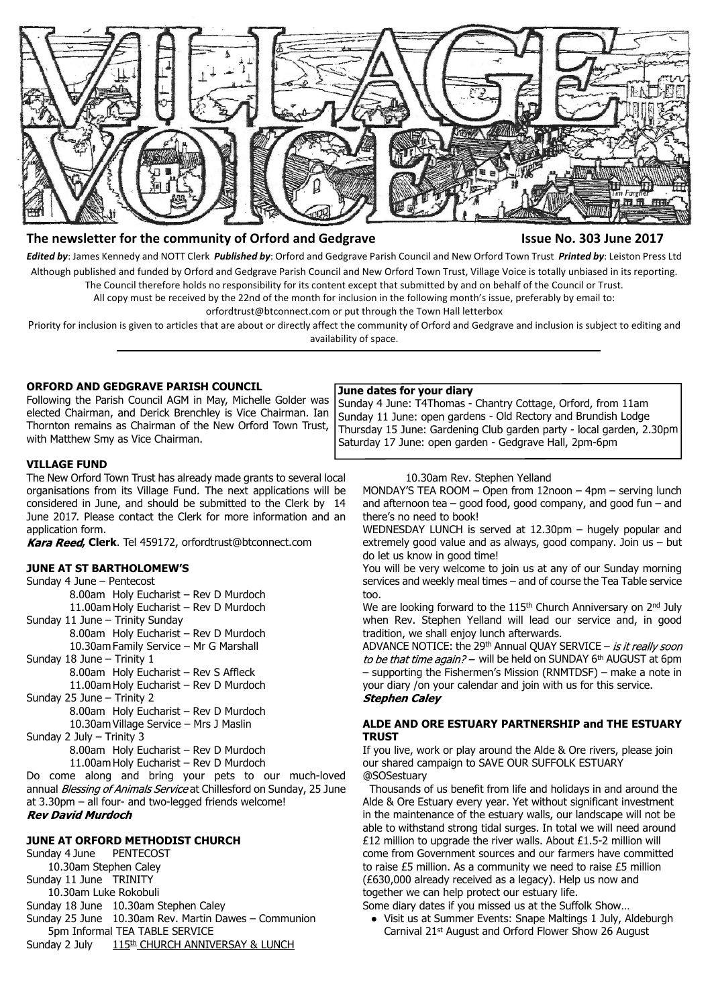

## **The newsletter for the community of Orford and Gedgrave Issue No. 303 June 2017**

*Edited by*: James Kennedy and NOTT Clerk *Published by*: Orford and Gedgrave Parish Council and New Orford Town Trust *Printed by*: Leiston Press Ltd Although published and funded by Orford and Gedgrave Parish Council and New Orford Town Trust, Village Voice is totally unbiased in its reporting. The Council therefore holds no responsibility for its content except that submitted by and on behalf of the Council or Trust.

All copy must be received by the 22nd of the month for inclusion in the following month's issue, preferably by email to:

orfordtrust@btconnect.com or put through the Town Hall letterbox

Priority for inclusion is given to articles that are about or directly affect the community of Orford and Gedgrave and inclusion is subject to editing and availability of space.

## **ORFORD AND GEDGRAVE PARISH COUNCIL**

Following the Parish Council AGM in May, Michelle Golder was elected Chairman, and Derick Brenchley is Vice Chairman. Ian Thornton remains as Chairman of the New Orford Town Trust, with Matthew Smy as Vice Chairman.

## **VILLAGE FUND**

The New Orford Town Trust has already made grants to several local organisations from its Village Fund. The next applications will be considered in June, and should be submitted to the Clerk by 14 June 2017. Please contact the Clerk for more information and an application form.

Kara Reed, Clerk. Tel 459172, orfordtrust@btconnect.com

## **JUNE AT ST BARTHOLOMEW'S**

Sunday 4 June – Pentecost

8.00am Holy Eucharist – Rev D Murdoch 11.00am Holy Eucharist – Rev D Murdoch

Sunday 11 June – Trinity Sunday

8.00am Holy Eucharist – Rev D Murdoch

10.30am Family Service – Mr G Marshall Sunday 18 June – Trinity 1

8.00am Holy Eucharist – Rev S Affleck

11.00am Holy Eucharist – Rev D Murdoch

Sunday 25 June – Trinity 2

8.00am Holy Eucharist – Rev D Murdoch 10.30am Village Service – Mrs J Maslin

Sunday 2 July – Trinity 3

8.00am Holy Eucharist – Rev D Murdoch

11.00am Holy Eucharist – Rev D Murdoch

Do come along and bring your pets to our much-loved annual Blessing of Animals Service at Chillesford on Sunday, 25 June at 3.30pm – all four- and two-legged friends welcome! **Rev David Murdoch** 

## **JUNE AT ORFORD METHODIST CHURCH**

Sunday 4 June PENTECOST 10.30am Stephen Caley Sunday 11 June TRINITY 10.30am Luke Rokobuli Sunday 18 June 10.30am Stephen Caley Sunday 25 June 10.30am Rev. Martin Dawes – Communion 5pm Informal TEA TABLE SERVICE

## **June dates for your diary**

 Sunday 4 June: T4Thomas - Chantry Cottage, Orford, from 11am Sunday 11 June: open gardens - Old Rectory and Brundish Lodge Thursday 15 June: Gardening Club garden party - local garden, 2.30pm Saturday 17 June: open garden - Gedgrave Hall, 2pm-6pm

## 10.30am Rev. Stephen Yelland

MONDAY'S TEA ROOM – Open from 12noon – 4pm – serving lunch and afternoon tea  $-$  good food, good company, and good fun  $-$  and there's no need to book!

WEDNESDAY LUNCH is served at 12.30pm – hugely popular and extremely good value and as always, good company. Join us – but do let us know in good time!

You will be very welcome to join us at any of our Sunday morning services and weekly meal times – and of course the Tea Table service too.

We are looking forward to the 115<sup>th</sup> Church Anniversary on 2<sup>nd</sup> July when Rev. Stephen Yelland will lead our service and, in good tradition, we shall enjoy lunch afterwards.

ADVANCE NOTICE: the 29th Annual QUAY SERVICE - is it really soon to be that time again? – will be held on SUNDAY 6th AUGUST at 6pm – supporting the Fishermen's Mission (RNMTDSF) – make a note in your diary /on your calendar and join with us for this service. **Stephen Caley** 

## **ALDE AND ORE ESTUARY PARTNERSHIP and THE ESTUARY TRUST**

If you live, work or play around the Alde & Ore rivers, please join our shared campaign to SAVE OUR SUFFOLK ESTUARY @SOSestuary

 Thousands of us benefit from life and holidays in and around the Alde & Ore Estuary every year. Yet without significant investment in the maintenance of the estuary walls, our landscape will not be able to withstand strong tidal surges. In total we will need around £12 million to upgrade the river walls. About £1.5-2 million will come from Government sources and our farmers have committed to raise £5 million. As a community we need to raise £5 million (£630,000 already received as a legacy). Help us now and together we can help protect our estuary life.

Some diary dates if you missed us at the Suffolk Show…

- Visit us at Summer Events: Snape Maltings 1 July, Aldeburgh Carnival 21st August and Orford Flower Show 26 August
- Sunday 2 July 115<sup>th</sup> CHURCH ANNIVERSAY & LUNCH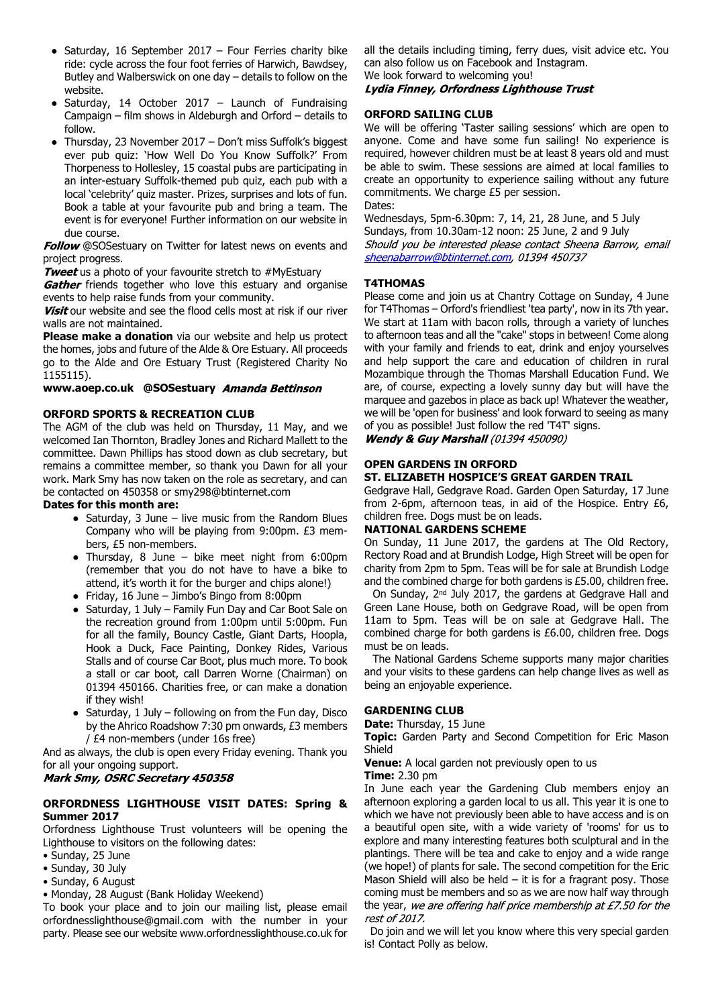- Saturday, 16 September 2017 Four Ferries charity bike ride: cycle across the four foot ferries of Harwich, Bawdsey, Butley and Walberswick on one day – details to follow on the website.
- Saturday, 14 October 2017 Launch of Fundraising Campaign – film shows in Aldeburgh and Orford – details to follow.
- Thursday, 23 November 2017 Don't miss Suffolk's biggest ever pub quiz: 'How Well Do You Know Suffolk?' From Thorpeness to Hollesley, 15 coastal pubs are participating in an inter-estuary Suffolk-themed pub quiz, each pub with a local 'celebrity' quiz master. Prizes, surprises and lots of fun. Book a table at your favourite pub and bring a team. The event is for everyone! Further information on our website in due course.

**Follow** @SOSestuary on Twitter for latest news on events and project progress.

**Tweet** us a photo of your favourite stretch to #MyEstuary

Gather friends together who love this estuary and organise events to help raise funds from your community.

Visit our website and see the flood cells most at risk if our river walls are not maintained.

**Please make a donation** via our website and help us protect the homes, jobs and future of the Alde & Ore Estuary. All proceeds go to the Alde and Ore Estuary Trust (Registered Charity No 1155115).

## **www.aoep.co.uk @SOSestuary**

## **ORFORD SPORTS & RECREATION CLUB**

The AGM of the club was held on Thursday, 11 May, and we welcomed Ian Thornton, Bradley Jones and Richard Mallett to the committee. Dawn Phillips has stood down as club secretary, but remains a committee member, so thank you Dawn for all your work. Mark Smy has now taken on the role as secretary, and can be contacted on 450358 or smy298@btinternet.com

## **Dates for this month are:**

- Saturday, 3 June live music from the Random Blues Company who will be playing from 9:00pm. £3 members, £5 non-members.
- Thursday, 8 June bike meet night from 6:00pm (remember that you do not have to have a bike to attend, it's worth it for the burger and chips alone!)
- Friday, 16 June Jimbo's Bingo from 8:00pm
- Saturday, 1 July Family Fun Day and Car Boot Sale on the recreation ground from 1:00pm until 5:00pm. Fun for all the family, Bouncy Castle, Giant Darts, Hoopla, Hook a Duck, Face Painting, Donkey Rides, Various Stalls and of course Car Boot, plus much more. To book a stall or car boot, call Darren Worne (Chairman) on 01394 450166. Charities free, or can make a donation if they wish!
- $\bullet$  Saturday, 1 July following on from the Fun day, Disco by the Ahrico Roadshow 7:30 pm onwards, £3 members / £4 non-members (under 16s free)

And as always, the club is open every Friday evening. Thank you for all your ongoing support.

## Mark Smy, OSRC Secretary 450358

## **ORFORDNESS LIGHTHOUSE VISIT DATES: Spring & Summer 2017**

Orfordness Lighthouse Trust volunteers will be opening the Lighthouse to visitors on the following dates:

- Sunday, 25 June
- Sunday, 30 July
- Sunday, 6 August
- Monday, 28 August (Bank Holiday Weekend)

To book your place and to join our mailing list, please email orfordnesslighthouse@gmail.com with the number in your party. Please see our website www.orfordnesslighthouse.co.uk for all the details including timing, ferry dues, visit advice etc. You can also follow us on Facebook and Instagram. We look forward to welcoming you!

# Lydia Finney, Orfordness Lighthouse Trust

## **ORFORD SAILING CLUB**

We will be offering 'Taster sailing sessions' which are open to anyone. Come and have some fun sailing! No experience is required, however children must be at least 8 years old and must be able to swim. These sessions are aimed at local families to create an opportunity to experience sailing without any future commitments. We charge £5 per session. Dates:

Wednesdays, 5pm-6.30pm: 7, 14, 21, 28 June, and 5 July Sundays, from 10.30am-12 noon: 25 June, 2 and 9 July Should you be interested please contact Sheena Barrow, email sheenabarrow@btinternet.com, 01394 450737

## **T4THOMAS**

Please come and join us at Chantry Cottage on Sunday, 4 June for T4Thomas – Orford's friendliest 'tea party', now in its 7th year. We start at 11am with bacon rolls, through a variety of lunches to afternoon teas and all the "cake" stops in between! Come along with your family and friends to eat, drink and enjoy yourselves and help support the care and education of children in rural Mozambique through the Thomas Marshall Education Fund. We are, of course, expecting a lovely sunny day but will have the marquee and gazebos in place as back up! Whatever the weather, we will be 'open for business' and look forward to seeing as many of you as possible! Just follow the red 'T4T' signs.

**Wendy & Guy Marshall (01394 450090)** 

# **OPEN GARDENS IN ORFORD**

## **ST. ELIZABETH HOSPICE'S GREAT GARDEN TRAIL**

Gedgrave Hall, Gedgrave Road. Garden Open Saturday, 17 June from 2-6pm, afternoon teas, in aid of the Hospice. Entry £6, children free. Dogs must be on leads.

## **NATIONAL GARDENS SCHEME**

On Sunday, 11 June 2017, the gardens at The Old Rectory, Rectory Road and at Brundish Lodge, High Street will be open for charity from 2pm to 5pm. Teas will be for sale at Brundish Lodge and the combined charge for both gardens is £5.00, children free.

 On Sunday, 2nd July 2017, the gardens at Gedgrave Hall and Green Lane House, both on Gedgrave Road, will be open from 11am to 5pm. Teas will be on sale at Gedgrave Hall. The combined charge for both gardens is £6.00, children free. Dogs must be on leads.

 The National Gardens Scheme supports many major charities and your visits to these gardens can help change lives as well as being an enjoyable experience.

## **GARDENING CLUB**

**Date:** Thursday, 15 June

**Topic:** Garden Party and Second Competition for Eric Mason Shield

**Venue:** A local garden not previously open to us

**Time:** 2.30 pm

In June each year the Gardening Club members enjoy an afternoon exploring a garden local to us all. This year it is one to which we have not previously been able to have access and is on a beautiful open site, with a wide variety of 'rooms' for us to explore and many interesting features both sculptural and in the plantings. There will be tea and cake to enjoy and a wide range (we hope!) of plants for sale. The second competition for the Eric Mason Shield will also be held – it is for a fragrant posy. Those coming must be members and so as we are now half way through the year, we are offering half price membership at  $E7.50$  for the rest of 2017.

 Do join and we will let you know where this very special garden is! Contact Polly as below.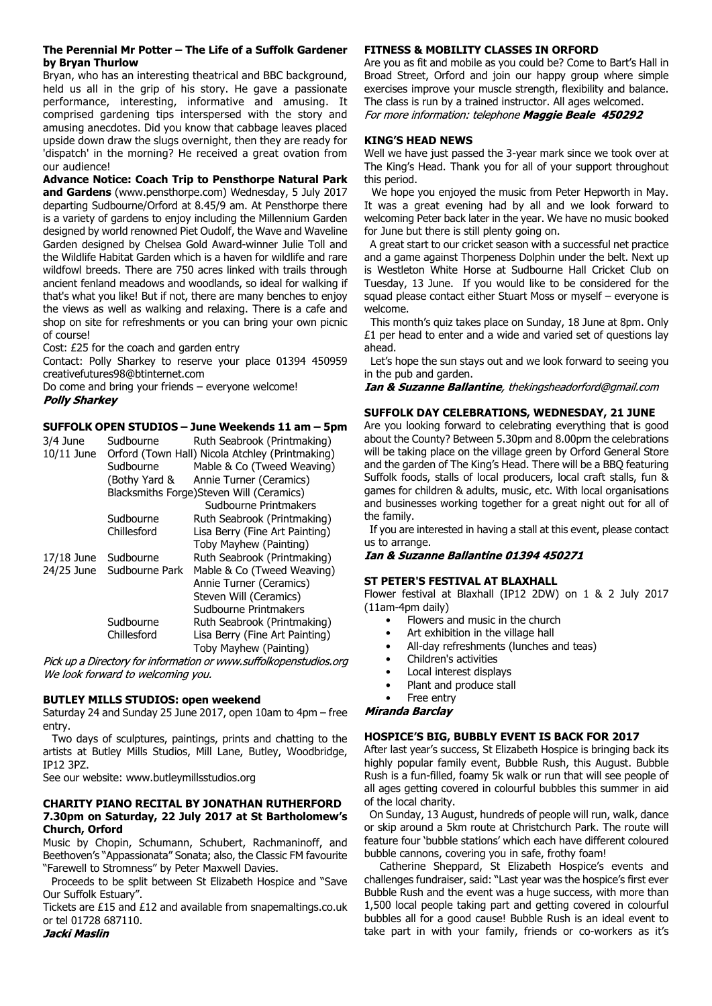## **The Perennial Mr Potter – The Life of a Suffolk Gardener by Bryan Thurlow**

Bryan, who has an interesting theatrical and BBC background, held us all in the grip of his story. He gave a passionate performance, interesting, informative and amusing. It comprised gardening tips interspersed with the story and amusing anecdotes. Did you know that cabbage leaves placed upside down draw the slugs overnight, then they are ready for 'dispatch' in the morning? He received a great ovation from our audience!

**Advance Notice: Coach Trip to Pensthorpe Natural Park and Gardens** (www.pensthorpe.com) Wednesday, 5 July 2017 departing Sudbourne/Orford at 8.45/9 am. At Pensthorpe there is a variety of gardens to enjoy including the Millennium Garden designed by world renowned Piet Oudolf, the Wave and Waveline Garden designed by Chelsea Gold Award-winner Julie Toll and the Wildlife Habitat Garden which is a haven for wildlife and rare wildfowl breeds. There are 750 acres linked with trails through ancient fenland meadows and woodlands, so ideal for walking if that's what you like! But if not, there are many benches to enjoy the views as well as walking and relaxing. There is a cafe and shop on site for refreshments or you can bring your own picnic of course!

Cost: £25 for the coach and garden entry

Contact: Polly Sharkey to reserve your place 01394 450959 creativefutures98@btinternet.com

Do come and bring your friends – everyone welcome! **Polly Sharkey** 

## **SUFFOLK OPEN STUDIOS – June Weekends 11 am – 5pm**

| 3/4 June<br>$10/11$ June | Sudbourne      | Ruth Seabrook (Printmaking)<br>Orford (Town Hall) Nicola Atchley (Printmaking) |
|--------------------------|----------------|--------------------------------------------------------------------------------|
|                          | Sudbourne      | Mable & Co (Tweed Weaving)                                                     |
|                          | (Bothy Yard &  | Annie Turner (Ceramics)                                                        |
|                          |                | Blacksmiths Forge)Steven Will (Ceramics)                                       |
|                          |                | Sudbourne Printmakers                                                          |
|                          | Sudbourne      | Ruth Seabrook (Printmaking)                                                    |
|                          | Chillesford    | Lisa Berry (Fine Art Painting)                                                 |
|                          |                | Toby Mayhew (Painting)                                                         |
| 17/18 June               | Sudbourne      | Ruth Seabrook (Printmaking)                                                    |
| 24/25 June               | Sudbourne Park | Mable & Co (Tweed Weaving)                                                     |
|                          |                | Annie Turner (Ceramics)                                                        |
|                          |                | Steven Will (Ceramics)                                                         |
|                          |                | Sudbourne Printmakers                                                          |
|                          | Sudbourne      | Ruth Seabrook (Printmaking)                                                    |
|                          | Chillesford    | Lisa Berry (Fine Art Painting)                                                 |
|                          |                | Toby Mayhew (Painting)                                                         |

Pick up a Directory for information or www.suffolkopenstudios.org We look forward to welcoming you.

## **BUTLEY MILLS STUDIOS: open weekend**

Saturday 24 and Sunday 25 June 2017, open 10am to 4pm – free entry.

 Two days of sculptures, paintings, prints and chatting to the artists at Butley Mills Studios, Mill Lane, Butley, Woodbridge, IP12 3PZ.

See our website: www.butleymillsstudios.org

## **CHARITY PIANO RECITAL BY JONATHAN RUTHERFORD 7.30pm on Saturday, 22 July 2017 at St Bartholomew's Church, Orford**

Music by Chopin, Schumann, Schubert, Rachmaninoff, and Beethoven's "Appassionata" Sonata; also, the Classic FM favourite "Farewell to Stromness" by Peter Maxwell Davies.

 Proceeds to be split between St Elizabeth Hospice and "Save Our Suffolk Estuary".

Tickets are £15 and £12 and available from snapemaltings.co.uk or tel 01728 687110.<br>Jacki Maslin

## **FITNESS & MOBILITY CLASSES IN ORFORD**

Are you as fit and mobile as you could be? Come to Bart's Hall in Broad Street, Orford and join our happy group where simple exercises improve your muscle strength, flexibility and balance. The class is run by a trained instructor. All ages welcomed. For more information: telephone Maggie Beale 450292

## **KING'S HEAD NEWS**

Well we have just passed the 3-year mark since we took over at The King's Head. Thank you for all of your support throughout this period.

 We hope you enjoyed the music from Peter Hepworth in May. It was a great evening had by all and we look forward to welcoming Peter back later in the year. We have no music booked for June but there is still plenty going on.

 A great start to our cricket season with a successful net practice and a game against Thorpeness Dolphin under the belt. Next up is Westleton White Horse at Sudbourne Hall Cricket Club on Tuesday, 13 June. If you would like to be considered for the squad please contact either Stuart Moss or myself – everyone is welcome.

 This month's quiz takes place on Sunday, 18 June at 8pm. Only £1 per head to enter and a wide and varied set of questions lay ahead.

 Let's hope the sun stays out and we look forward to seeing you in the pub and garden.

**Ian & Suzanne Ballantine**, thekingsheadorford@gmail.com

## **SUFFOLK DAY CELEBRATIONS, WEDNESDAY, 21 JUNE**

Are you looking forward to celebrating everything that is good about the County? Between 5.30pm and 8.00pm the celebrations will be taking place on the village green by Orford General Store and the garden of The King's Head. There will be a BBQ featuring Suffolk foods, stalls of local producers, local craft stalls, fun & games for children & adults, music, etc. With local organisations and businesses working together for a great night out for all of the family.

 If you are interested in having a stall at this event, please contact us to arrange.

Ian & Suzanne Ballantine 01394 450271

## **ST PETER'S FESTIVAL AT BLAXHALL**

Flower festival at Blaxhall (IP12 2DW) on 1 & 2 July 2017 (11am-4pm daily)

- Flowers and music in the church
- Art exhibition in the village hall
- All-day refreshments (lunches and teas)
- Children's activities
- Local interest displays
- Plant and produce stall
- Free entry

## Miranda Barclay

## **HOSPICE'S BIG, BUBBLY EVENT IS BACK FOR 2017**

After last year's success, St Elizabeth Hospice is bringing back its highly popular family event, Bubble Rush, this August. Bubble Rush is a fun-filled, foamy 5k walk or run that will see people of all ages getting covered in colourful bubbles this summer in aid of the local charity.

 On Sunday, 13 August, hundreds of people will run, walk, dance or skip around a 5km route at Christchurch Park. The route will feature four 'bubble stations' which each have different coloured bubble cannons, covering you in safe, frothy foam!

 Catherine Sheppard, St Elizabeth Hospice's events and challenges fundraiser, said: "Last year was the hospice's first ever Bubble Rush and the event was a huge success, with more than 1,500 local people taking part and getting covered in colourful bubbles all for a good cause! Bubble Rush is an ideal event to take part in with your family, friends or co-workers as it's